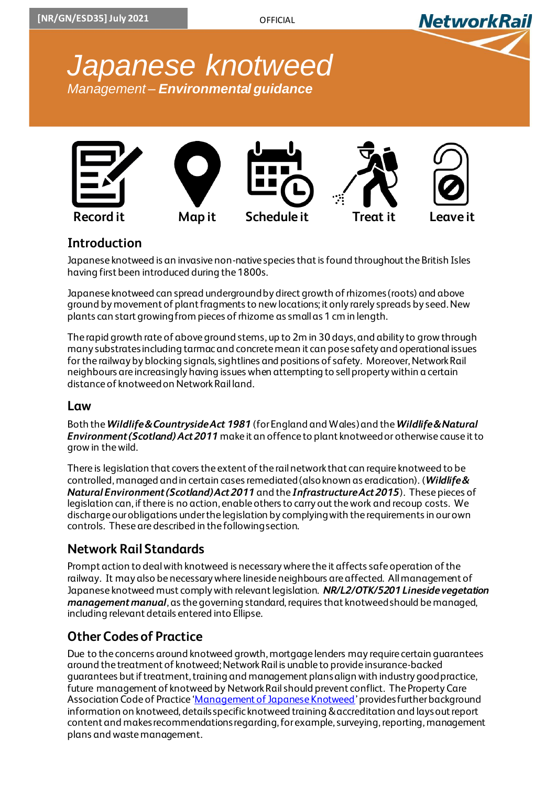



## **Introduction**

Japanese knotweed is an invasive non-native species that is found throughout the British Isles having first been introduced during the 1800s.

Japanese knotweed can spread underground by direct growth of rhizomes (roots) and above ground by movement of plant fragments to new locations; it only rarely spreads by seed. New plants can start growing from pieces of rhizome as small as 1 cm in length.

The rapid growth rate of above ground stems, up to 2m in 30 days, and ability to growthrough many substrates including tarmac and concrete mean it can pose safety and operational issues for the railway by blocking signals, sightlines and positions of safety. Moreover, Network Rail neighbours are increasingly having issues when attempting to sell property within a certain distance of knotweed on Network Rail land.

#### **Law**

Both the *Wildlife & Countryside Act 1981* (for England and Wales) and the *Wildlife & Natural Environment (Scotland) Act 2011* make it an offence to plant knotweed or otherwise cause it to grow in the wild.

There is legislation that covers the extent of the rail network that can require knotweed to be controlled, managed and in certain cases remediated (also known as eradication). (*Wildlife & Natural Environment (Scotland) Act 2011* and the *Infrastructure Act 2015*). These pieces of legislation can, if there is no action, enable others to carry out the work and recoup costs. We discharge our obligations under the legislation by complying with the requirements in our own controls. These are described in the following section.

## **Network Rail Standards**

Prompt action to deal with knotweed is necessary where the it affects safe operation of the railway. It may also be necessary where lineside neighbours are affected. All management of Japanese knotweed must comply with relevant legislation. *NR/L2/OTK/5201 Lineside vegetation management manual*, as the governing standard, requires that knotweed should be managed, including relevant details entered into Ellipse.

## **Other Codes of Practice**

Due to the concerns around knotweed growth, mortgage lenders may require certain guarantees around the treatment of knotweed; Network Rail is unable to provide insurance-backed guarantees but if treatment, training and management plans align with industry good practice, future management of knotweed by Network Railshould prevent conflict. The Property Care Association Code of Practice '[Management of Japanese Knotweed](https://www.property-care.org/wp-content/uploads/2018/05/PCA-COP-Control-of-Knotweed-24pp_04.05.18-WEB.pdf)' provides further background information on knotweed, details specific knotweed training &accreditation and lays out report content and makes recommendations regarding, for example,surveying, reporting, management plans and waste management.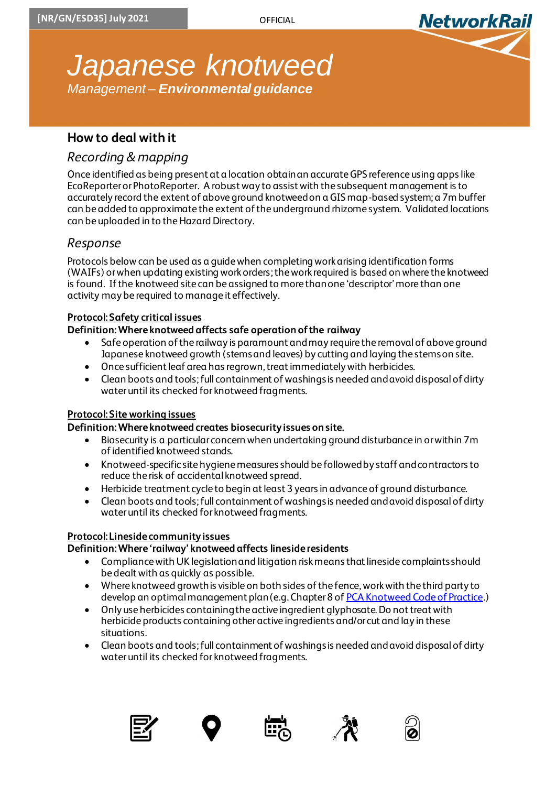

## **How to deal with it**

## *Recording & mapping*

Once identified as being present at a location obtain an accurate GPS reference using apps like EcoReporter or PhotoReporter. A robust way to assist with the subsequent management is to accurately record the extent of above ground knotweed on a GIS map-based system; a 7m buffer can be added to approximate the extent of the underground rhizome system. Validated locations can be uploaded in to the Hazard Directory.

### *Response*

Protocols below can be used as a guide when completing work arising identification forms (WAIFs) or when updating existing work orders; thework required is based on where the knotweed is found. If the knotweed site can be assigned to more than one 'descriptor' more than one activity may be required to manage it effectively.

#### **Protocol: Safety critical issues**

#### **Definition: Where knotweed affects safe operation of the railway**

- Safe operation of the railway is paramount and may require the removal of above ground Japanese knotweed growth (stems and leaves) by cutting and laying the stems on site.
- Once sufficient leaf area has regrown, treat immediately with herbicides.
- Clean boots and tools; full containment of washings is needed and avoid disposal of dirty water until its checked for knotweed fragments.

#### **Protocol: Site working issues**

#### **Definition: Where knotweed creates biosecurity issues on site.**

- Biosecurity is a particular concern when undertaking ground disturbance in or within 7m of identified knotweed stands.
- Knotweed-specific site hygiene measures should be followed by staff and contractors to reduce the risk of accidental knotweed spread.
- Herbicide treatment cycle to begin at least 3 years in advance of ground disturbance.
- Clean boots and tools; full containment of washings is needed and avoid disposal of dirty water until its checked for knotweed fragments.

#### **Protocol: Lineside community issues**

#### **Definition: Where 'railway' knotweed affects lineside residents**

- Compliance with UK legislation and litigation risk means that lineside complaints should be dealt with as quickly as possible.
- Where knotweed growth is visible on both sides of the fence, work with the third party to develop an optimal management plan (e.g. Chapter 8 o[f PCA Knotweed Code of Practice](https://www.property-care.org/wp-content/uploads/2018/05/PCA-COP-Control-of-Knotweed-24pp_04.05.18-WEB.pdf).)
- Only use herbicides containing the active ingredient glyphosate. Do not treat with herbicide products containing other active ingredients and/or cut and lay in these situations.
- Clean boots and tools; full containment of washings is needed and avoid disposal of dirty water until its checked for knotweed fragments.









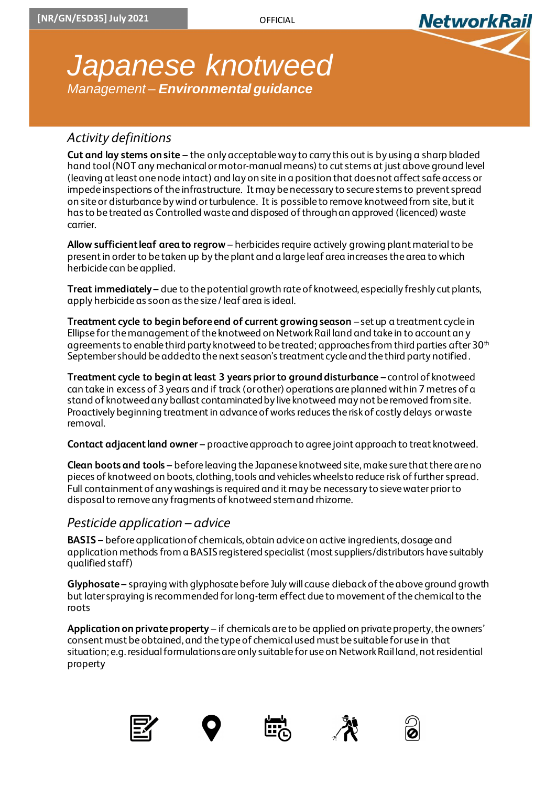

## *Activity definitions*

**Cut and lay stems on site** – the only acceptable way to carry this out is by using a sharp bladed hand tool (NOT any mechanical or motor-manual means) to cut stems at just above ground level (leaving at least one node intact) and lay on site in a position that does not affect safe access or impede inspections of the infrastructure. It may be necessary to secure stems to prevent spread on site or disturbance by wind or turbulence. It is possible to remove knotweed from site, but it has to be treated as Controlled waste and disposed of through an approved (licenced) waste carrier.

**Allow sufficient leaf area to regrow** – herbicides require actively growing plant material to be present in order to be taken up by the plant and a large leaf area increases the area to which herbicide can be applied.

**Treat immediately** – due to the potential growth rate of knotweed, especially freshly cut plants, apply herbicide as soon as the size / leaf area is ideal.

**Treatment cycle to begin before end of current growing season** – set up a treatment cycle in Ellipse for the management of the knotweed on Network Rail land and take in to account any agreements to enable third party knotweed to be treated; approaches from third parties after 30<sup>th</sup> Septembershould be added to the next season's treatment cycle and the third party notified.

**Treatment cycle to begin at least 3 years prior to ground disturbance** – control of knotweed can take in excess of 3 years and if track (or other) operations are planned within 7 metres of a stand of knotweed any ballast contaminated by live knotweed may not be removed from site. Proactively beginning treatment in advance of works reduces the risk of costly delays or waste removal.

**Contact adjacent land owner** – proactive approach to agree joint approach to treat knotweed.

**Clean boots and tools** – before leaving the Japanese knotweed site, make sure that there are no pieces of knotweed on boots, clothing, tools and vehicles wheels to reduce risk of further spread. Full containment of any washings is required and it may be necessary to sieve water prior to disposal to remove any fragments of knotweed stem and rhizome.

#### *Pesticide application – advice*

**BASIS** – before application of chemicals, obtain advice on active ingredients, dosage and application methods from a BASIS registered specialist (most suppliers/distributors have suitably qualified staff)

**Glyphosate** – spraying with glyphosate before July will cause dieback of the above ground growth but later spraying is recommended forlong-term effect due to movement of the chemical to the roots

**Application on private property** – if chemicals are to be applied on private property, the owners' consent must be obtained, and the type of chemical used must be suitable for use in that situation; e.g. residual formulations are only suitable for use on Network Rail land, not residential property